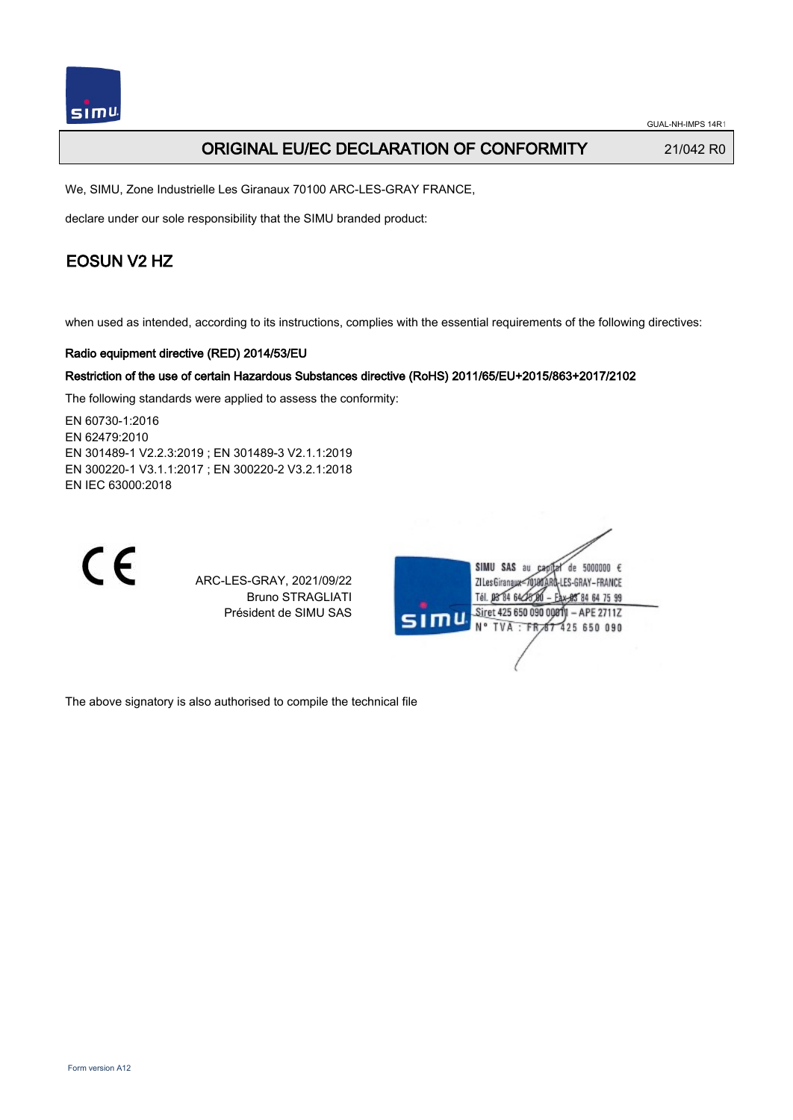

GUAL-NH-IMPS 14R1

## ORIGINAL EU/EC DECLARATION OF CONFORMITY 21/042 R0

We, SIMU, Zone Industrielle Les Giranaux 70100 ARC-LES-GRAY FRANCE,

declare under our sole responsibility that the SIMU branded product:

## EOSUN V2 HZ

when used as intended, according to its instructions, complies with the essential requirements of the following directives:

### Radio equipment directive (RED) 2014/53/EU

### Restriction of the use of certain Hazardous Substances directive (RoHS) 2011/65/EU+2015/863+2017/2102

The following standards were applied to assess the conformity:

EN 60730‑1:2016 EN 62479:2010 EN 301489‑1 V2.2.3:2019 ; EN 301489‑3 V2.1.1:2019 EN 300220‑1 V3.1.1:2017 ; EN 300220‑2 V3.2.1:2018 EN IEC 63000:2018



ARC-LES-GRAY, 2021/09/22 Bruno STRAGLIATI Président de SIMU SAS



The above signatory is also authorised to compile the technical file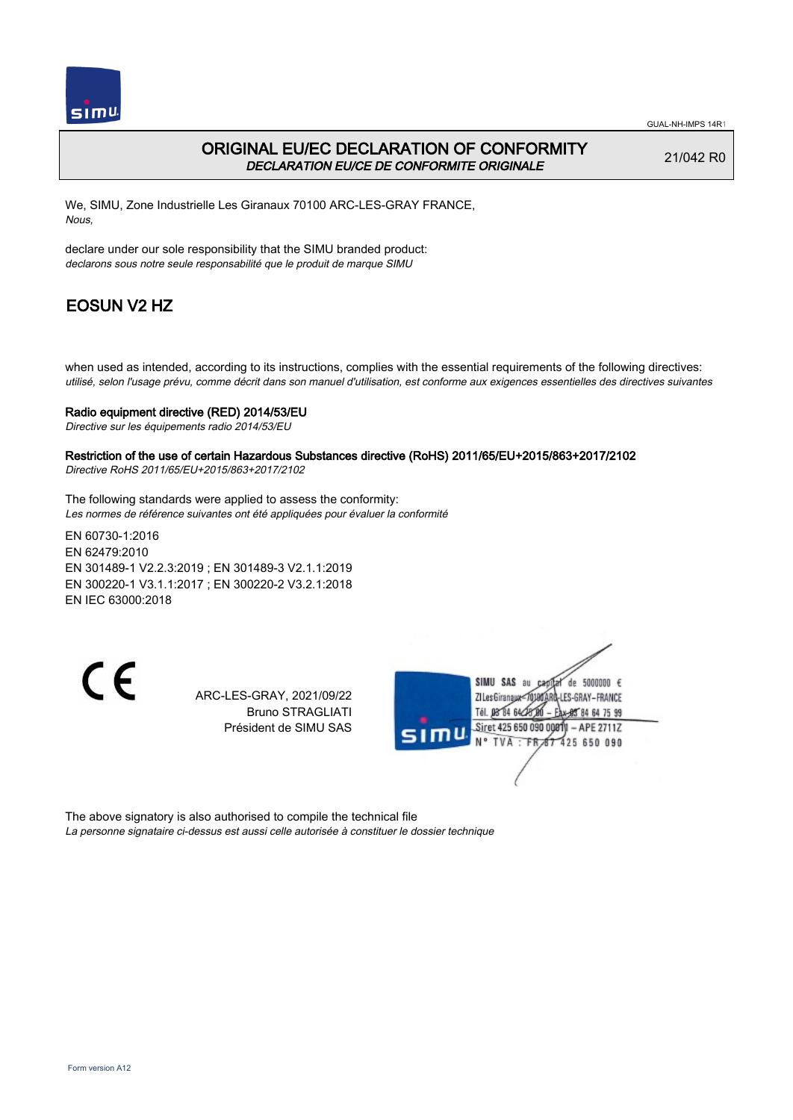

## ORIGINAL EU/EC DECLARATION OF CONFORMITY DECLARATION EU/CE DE CONFORMITE ORIGINALE

21/042 R0

We, SIMU, Zone Industrielle Les Giranaux 70100 ARC-LES-GRAY FRANCE, Nous,

declare under our sole responsibility that the SIMU branded product: declarons sous notre seule responsabilité que le produit de marque SIMU

# EOSUN V2 HZ

when used as intended, according to its instructions, complies with the essential requirements of the following directives: utilisé, selon l'usage prévu, comme décrit dans son manuel d'utilisation, est conforme aux exigences essentielles des directives suivantes

### Radio equipment directive (RED) 2014/53/EU

Directive sur les équipements radio 2014/53/EU

# Restriction of the use of certain Hazardous Substances directive (RoHS) 2011/65/EU+2015/863+2017/2102

Directive RoHS 2011/65/EU+2015/863+2017/2102

The following standards were applied to assess the conformity: Les normes de référence suivantes ont été appliquées pour évaluer la conformité

EN 60730‑1:2016 EN 62479:2010 EN 301489‑1 V2.2.3:2019 ; EN 301489‑3 V2.1.1:2019 EN 300220‑1 V3.1.1:2017 ; EN 300220‑2 V3.2.1:2018 EN IEC 63000:2018

C E

ARC-LES-GRAY, 2021/09/22 Bruno STRAGLIATI Président de SIMU SAS



The above signatory is also authorised to compile the technical file La personne signataire ci-dessus est aussi celle autorisée à constituer le dossier technique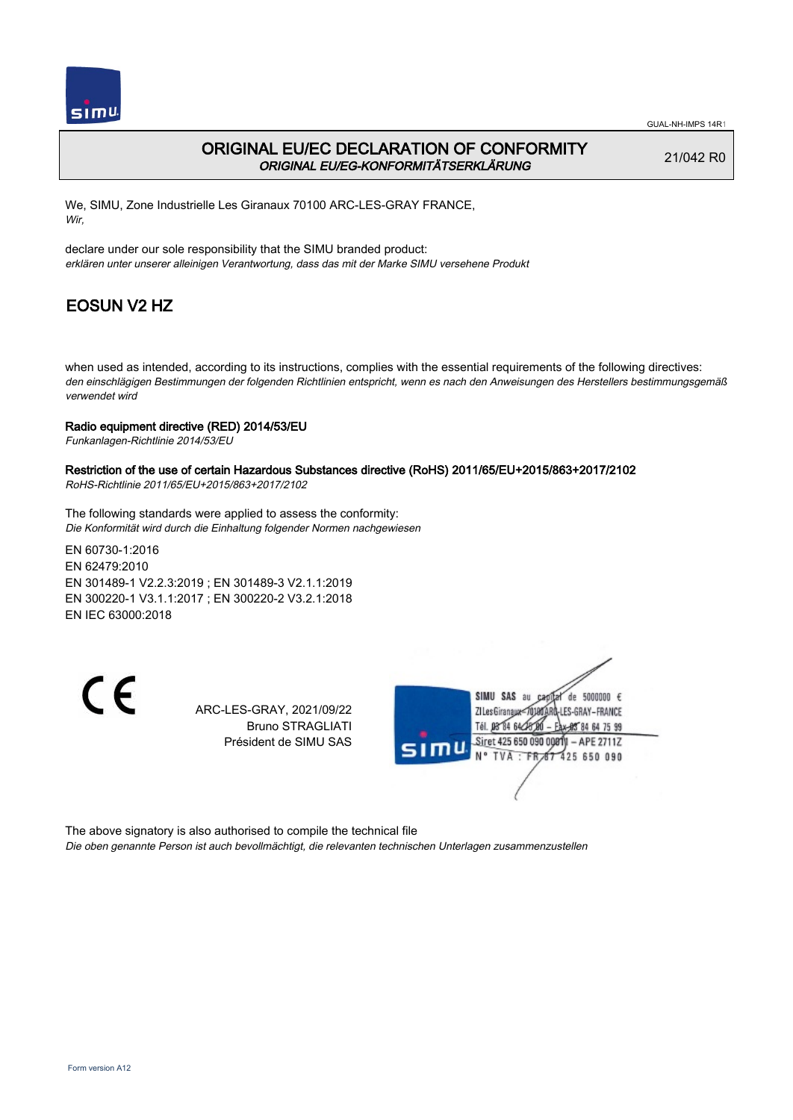

### ORIGINAL EU/EC DECLARATION OF CONFORMITY ORIGINAL EU/EG-KONFORMITÄTSERKLÄRUNG

21/042 R0

We, SIMU, Zone Industrielle Les Giranaux 70100 ARC-LES-GRAY FRANCE, Wir,

declare under our sole responsibility that the SIMU branded product: erklären unter unserer alleinigen Verantwortung, dass das mit der Marke SIMU versehene Produkt

# EOSUN V2 HZ

when used as intended, according to its instructions, complies with the essential requirements of the following directives: den einschlägigen Bestimmungen der folgenden Richtlinien entspricht, wenn es nach den Anweisungen des Herstellers bestimmungsgemäß verwendet wird

### Radio equipment directive (RED) 2014/53/EU

Funkanlagen-Richtlinie 2014/53/EU

## Restriction of the use of certain Hazardous Substances directive (RoHS) 2011/65/EU+2015/863+2017/2102

RoHS-Richtlinie 2011/65/EU+2015/863+2017/2102

The following standards were applied to assess the conformity: Die Konformität wird durch die Einhaltung folgender Normen nachgewiesen

EN 60730‑1:2016 EN 62479:2010 EN 301489‑1 V2.2.3:2019 ; EN 301489‑3 V2.1.1:2019 EN 300220‑1 V3.1.1:2017 ; EN 300220‑2 V3.2.1:2018 EN IEC 63000:2018

CE

ARC-LES-GRAY, 2021/09/22 Bruno STRAGLIATI Président de SIMU SAS



The above signatory is also authorised to compile the technical file Die oben genannte Person ist auch bevollmächtigt, die relevanten technischen Unterlagen zusammenzustellen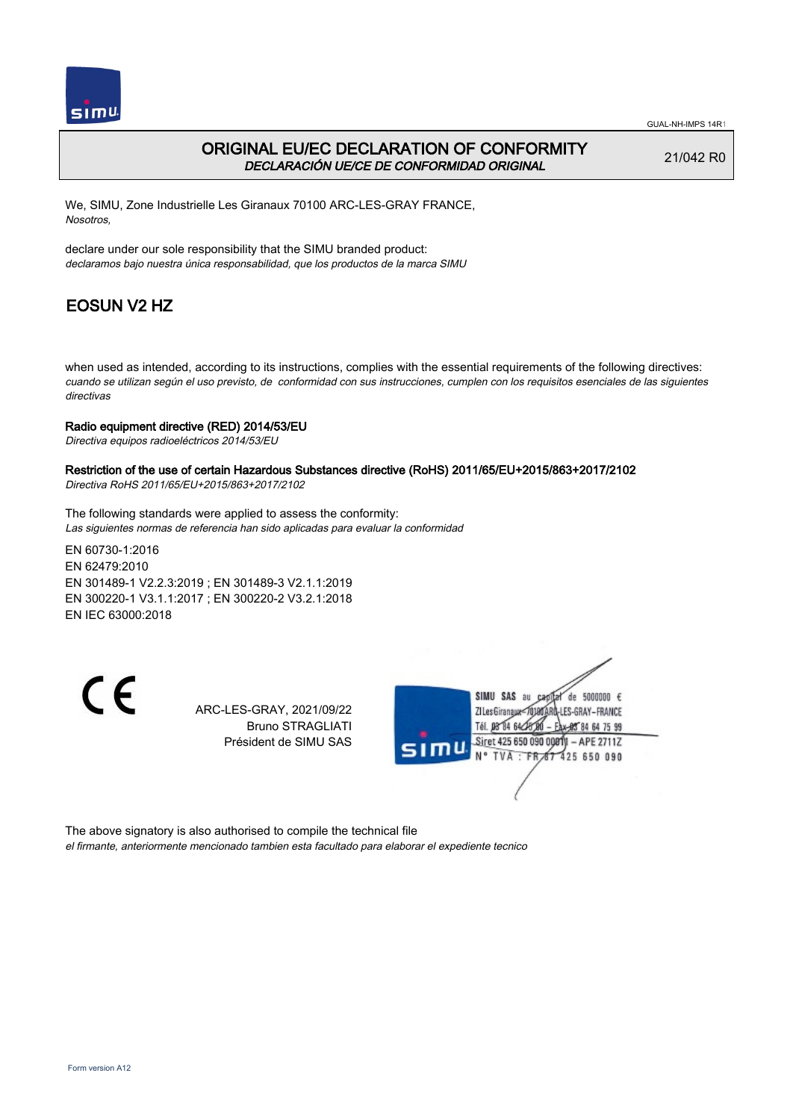

### ORIGINAL EU/EC DECLARATION OF CONFORMITY DECLARACIÓN UE/CE DE CONFORMIDAD ORIGINAL

21/042 R0

We, SIMU, Zone Industrielle Les Giranaux 70100 ARC-LES-GRAY FRANCE, Nosotros,

declare under our sole responsibility that the SIMU branded product: declaramos bajo nuestra única responsabilidad, que los productos de la marca SIMU

# EOSUN V2 HZ

when used as intended, according to its instructions, complies with the essential requirements of the following directives: cuando se utilizan según el uso previsto, de conformidad con sus instrucciones, cumplen con los requisitos esenciales de las siguientes directivas

### Radio equipment directive (RED) 2014/53/EU

Directiva equipos radioeléctricos 2014/53/EU

## Restriction of the use of certain Hazardous Substances directive (RoHS) 2011/65/EU+2015/863+2017/2102

Directiva RoHS 2011/65/EU+2015/863+2017/2102

The following standards were applied to assess the conformity: Las siguientes normas de referencia han sido aplicadas para evaluar la conformidad

EN 60730‑1:2016 EN 62479:2010 EN 301489‑1 V2.2.3:2019 ; EN 301489‑3 V2.1.1:2019 EN 300220‑1 V3.1.1:2017 ; EN 300220‑2 V3.2.1:2018 EN IEC 63000:2018

CE

ARC-LES-GRAY, 2021/09/22 Bruno STRAGLIATI Président de SIMU SAS



The above signatory is also authorised to compile the technical file el firmante, anteriormente mencionado tambien esta facultado para elaborar el expediente tecnico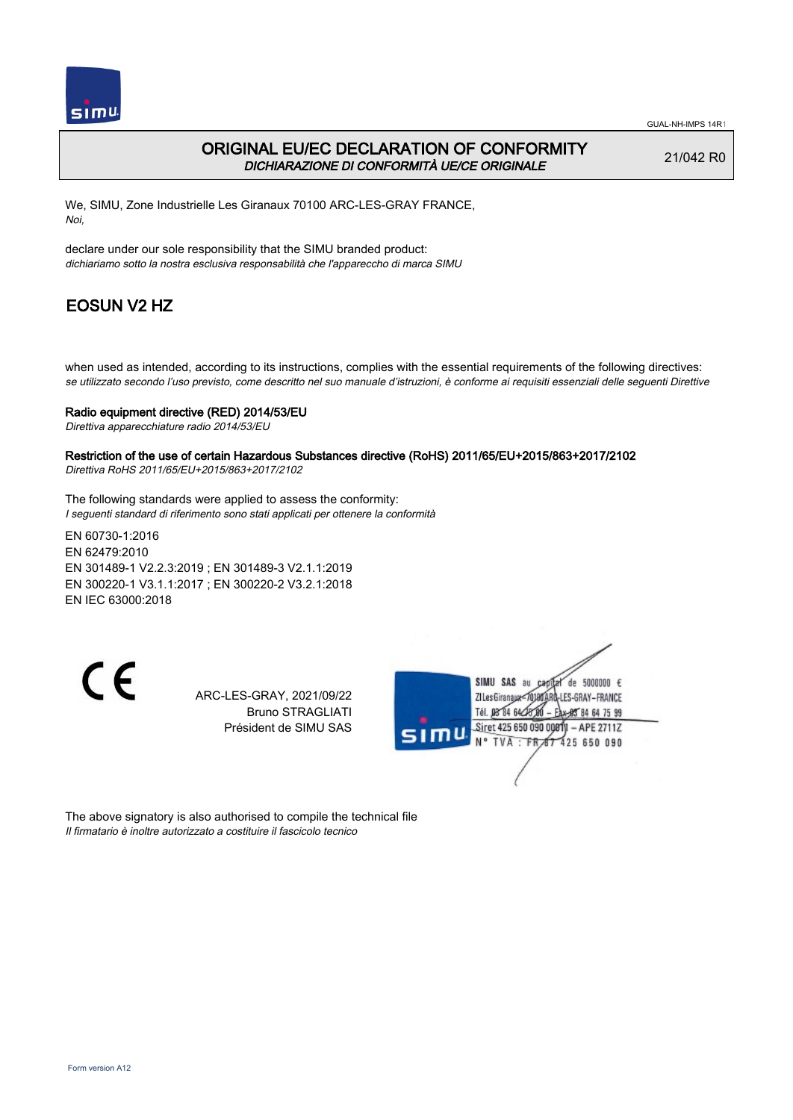

## ORIGINAL EU/EC DECLARATION OF CONFORMITY DICHIARAZIONE DI CONFORMITÀ UE/CE ORIGINALE

21/042 R0

We, SIMU, Zone Industrielle Les Giranaux 70100 ARC-LES-GRAY FRANCE, Noi,

declare under our sole responsibility that the SIMU branded product: dichiariamo sotto la nostra esclusiva responsabilità che l'appareccho di marca SIMU

# EOSUN V2 HZ

when used as intended, according to its instructions, complies with the essential requirements of the following directives: se utilizzato secondo l'uso previsto, come descritto nel suo manuale d'istruzioni, è conforme ai requisiti essenziali delle seguenti Direttive

### Radio equipment directive (RED) 2014/53/EU

Direttiva apparecchiature radio 2014/53/EU

Restriction of the use of certain Hazardous Substances directive (RoHS) 2011/65/EU+2015/863+2017/2102 Direttiva RoHS 2011/65/EU+2015/863+2017/2102

The following standards were applied to assess the conformity: I seguenti standard di riferimento sono stati applicati per ottenere la conformità

EN 60730‑1:2016 EN 62479:2010 EN 301489‑1 V2.2.3:2019 ; EN 301489‑3 V2.1.1:2019 EN 300220‑1 V3.1.1:2017 ; EN 300220‑2 V3.2.1:2018 EN IEC 63000:2018

C E

ARC-LES-GRAY, 2021/09/22 Bruno STRAGLIATI Président de SIMU SAS



The above signatory is also authorised to compile the technical file Il firmatario è inoltre autorizzato a costituire il fascicolo tecnico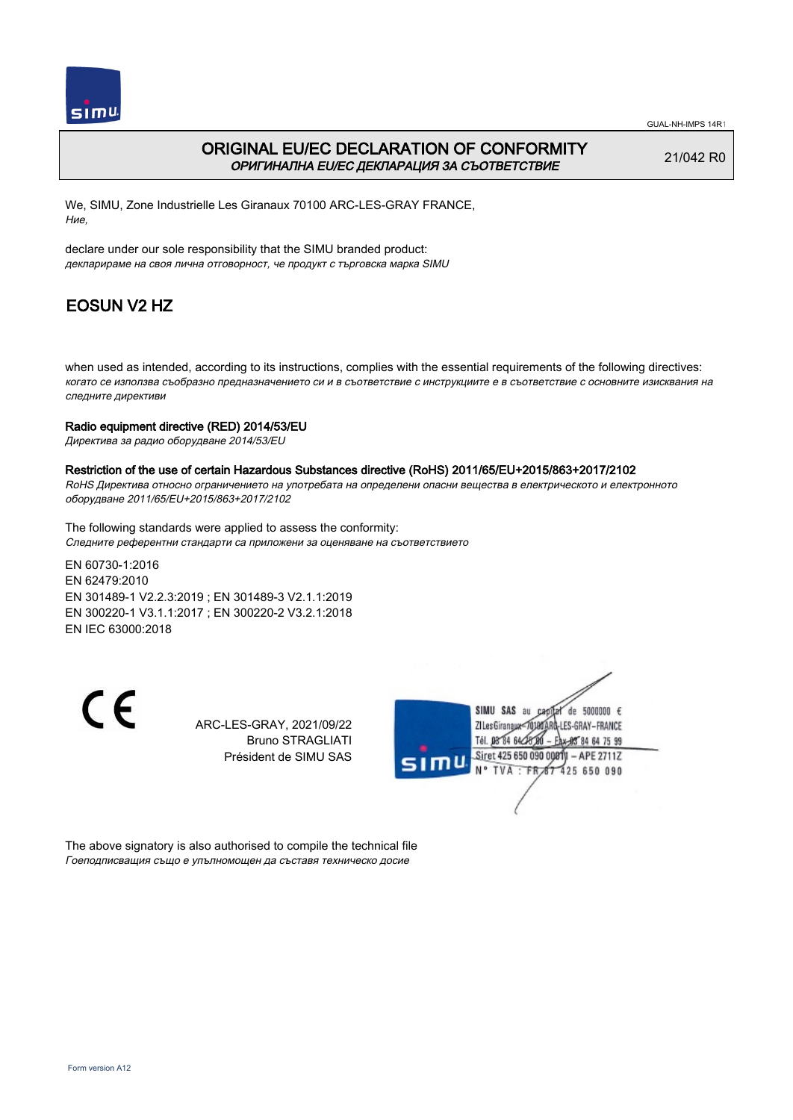

## ORIGINAL EU/EC DECLARATION OF CONFORMITY ОРИГИНАЛНА EU/EC ДЕКЛАРАЦИЯ ЗА СЪОТВЕТСТВИЕ

21/042 R0

We, SIMU, Zone Industrielle Les Giranaux 70100 ARC-LES-GRAY FRANCE, Ние,

declare under our sole responsibility that the SIMU branded product: декларираме на своя лична отговорност, че продукт с търговска марка SIMU

# EOSUN V2 HZ

when used as intended, according to its instructions, complies with the essential requirements of the following directives: когато се използва съобразно предназначението си и в съответствие с инструкциите е в съответствие с основните изисквания на следните директиви

#### Radio equipment directive (RED) 2014/53/EU

Директива за радио оборудване 2014/53/EU

#### Restriction of the use of certain Hazardous Substances directive (RoHS) 2011/65/EU+2015/863+2017/2102

RoHS Директива относно ограничението на употребата на определени опасни вещества в електрическото и електронното оборудване 2011/65/EU+2015/863+2017/2102

The following standards were applied to assess the conformity: Следните референтни стандарти са приложени за оценяване на съответствието

EN 60730‑1:2016 EN 62479:2010 EN 301489‑1 V2.2.3:2019 ; EN 301489‑3 V2.1.1:2019 EN 300220‑1 V3.1.1:2017 ; EN 300220‑2 V3.2.1:2018 EN IEC 63000:2018

C E

ARC-LES-GRAY, 2021/09/22 Bruno STRAGLIATI Président de SIMU SAS



The above signatory is also authorised to compile the technical file Гоеподписващия също е упълномощен да съставя техническо досие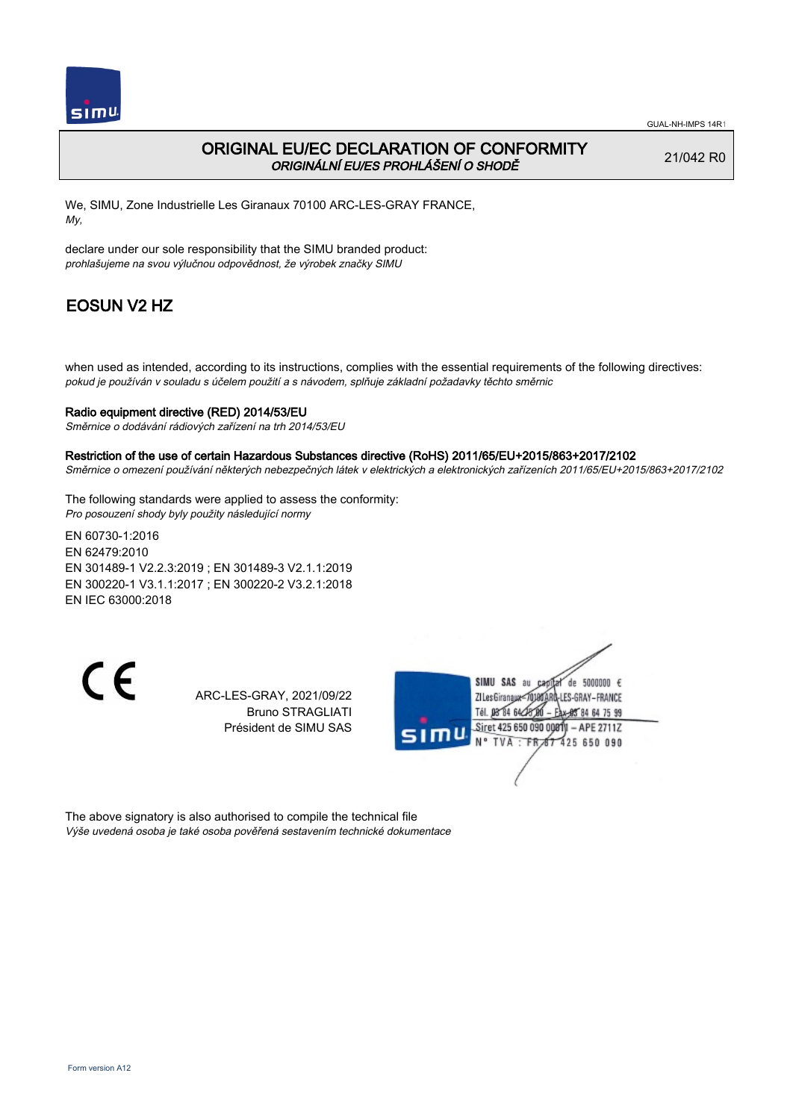

## ORIGINAL EU/EC DECLARATION OF CONFORMITY ORIGINÁLNÍ EU/ES PROHLÁŠENÍ O SHODĚ

21/042 R0

We, SIMU, Zone Industrielle Les Giranaux 70100 ARC-LES-GRAY FRANCE, My,

declare under our sole responsibility that the SIMU branded product: prohlašujeme na svou výlučnou odpovědnost, že výrobek značky SIMU

# EOSUN V2 HZ

when used as intended, according to its instructions, complies with the essential requirements of the following directives: pokud je používán v souladu s účelem použití a s návodem, splňuje základní požadavky těchto směrnic

### Radio equipment directive (RED) 2014/53/EU

Směrnice o dodávání rádiových zařízení na trh 2014/53/EU

#### Restriction of the use of certain Hazardous Substances directive (RoHS) 2011/65/EU+2015/863+2017/2102

Směrnice o omezení používání některých nebezpečných látek v elektrických a elektronických zařízeních 2011/65/EU+2015/863+2017/2102

The following standards were applied to assess the conformity: Pro posouzení shody byly použity následující normy

EN 60730‑1:2016 EN 62479:2010 EN 301489‑1 V2.2.3:2019 ; EN 301489‑3 V2.1.1:2019 EN 300220‑1 V3.1.1:2017 ; EN 300220‑2 V3.2.1:2018 EN IEC 63000:2018

 $\epsilon$ 

ARC-LES-GRAY, 2021/09/22 Bruno STRAGLIATI Président de SIMU SAS



The above signatory is also authorised to compile the technical file Výše uvedená osoba je také osoba pověřená sestavením technické dokumentace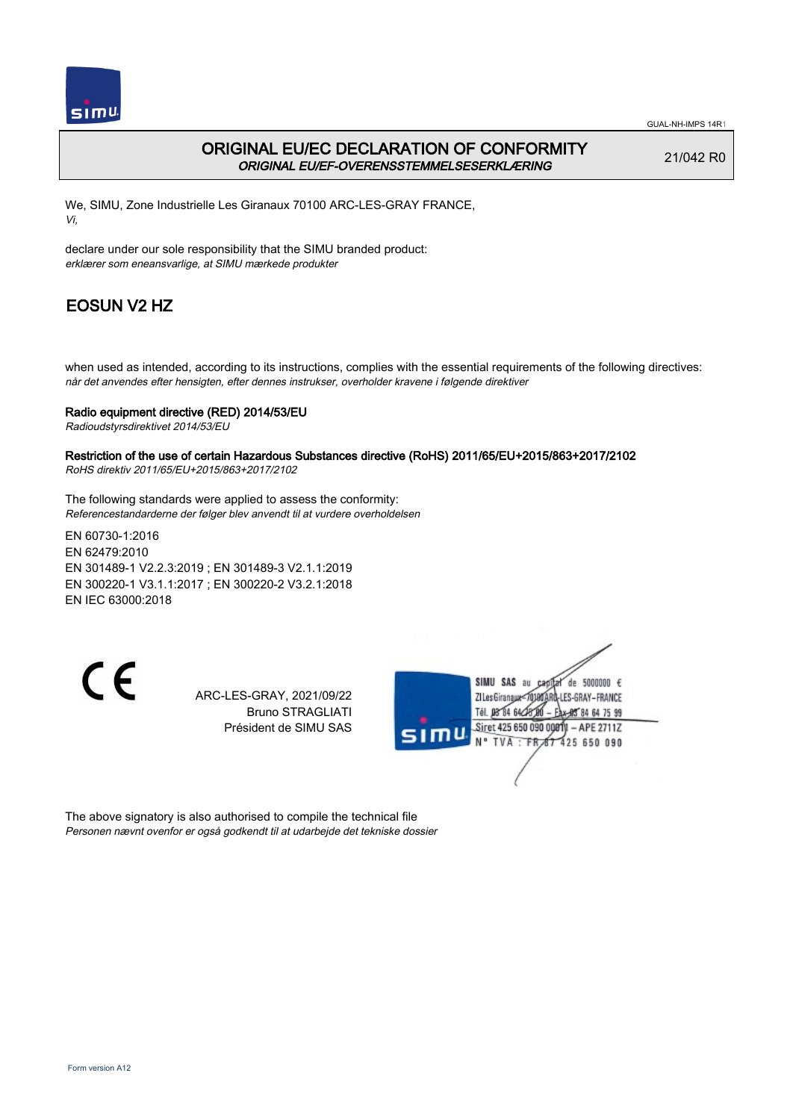

## ORIGINAL EU/EC DECLARATION OF CONFORMITY ORIGINAL EU/EF-OVERENSSTEMMELSESERKLÆRING

21/042 R0

We, SIMU, Zone Industrielle Les Giranaux 70100 ARC-LES-GRAY FRANCE, Vi,

declare under our sole responsibility that the SIMU branded product: erklærer som eneansvarlige, at SIMU mærkede produkter

# EOSUN V2 HZ

when used as intended, according to its instructions, complies with the essential requirements of the following directives: når det anvendes efter hensigten, efter dennes instrukser, overholder kravene i følgende direktiver

#### Radio equipment directive (RED) 2014/53/EU

Radioudstyrsdirektivet 2014/53/EU

#### Restriction of the use of certain Hazardous Substances directive (RoHS) 2011/65/EU+2015/863+2017/2102 RoHS direktiv 2011/65/EU+2015/863+2017/2102

The following standards were applied to assess the conformity:

Referencestandarderne der følger blev anvendt til at vurdere overholdelsen

EN 60730‑1:2016 EN 62479:2010 EN 301489‑1 V2.2.3:2019 ; EN 301489‑3 V2.1.1:2019 EN 300220‑1 V3.1.1:2017 ; EN 300220‑2 V3.2.1:2018 EN IEC 63000:2018

 $\epsilon$ 

ARC-LES-GRAY, 2021/09/22 Bruno STRAGLIATI Président de SIMU SAS



The above signatory is also authorised to compile the technical file Personen nævnt ovenfor er også godkendt til at udarbejde det tekniske dossier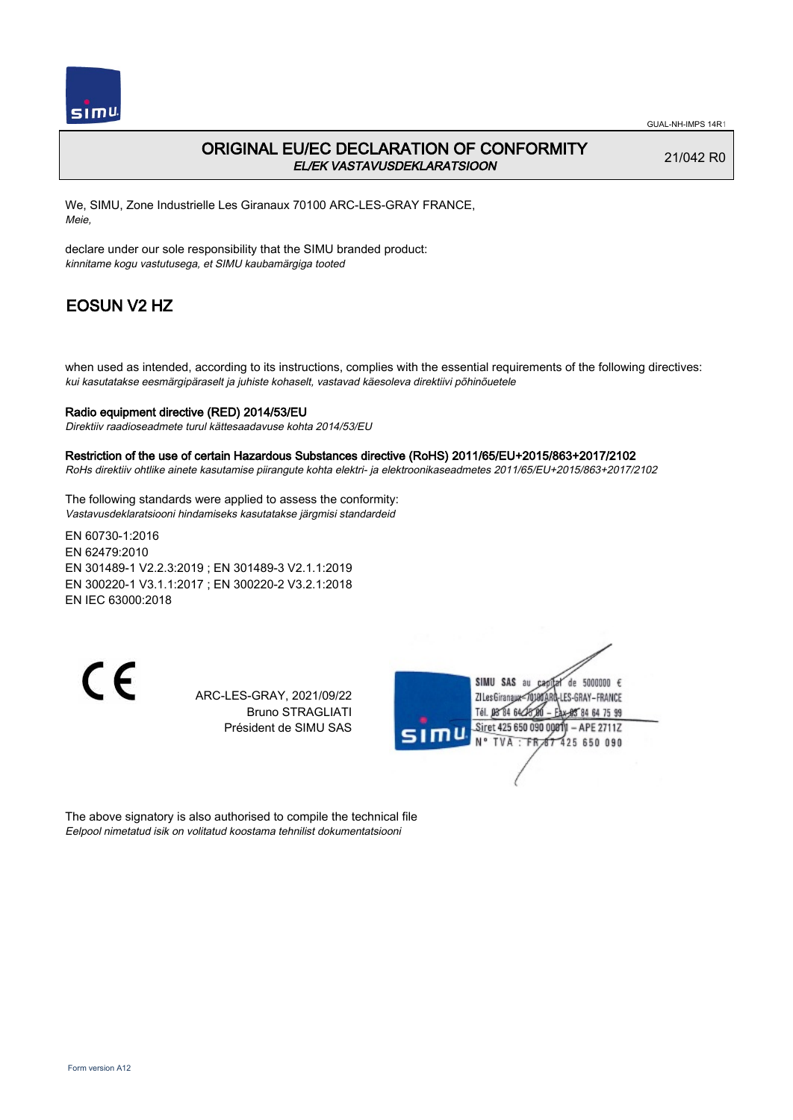

## ORIGINAL EU/EC DECLARATION OF CONFORMITY EL/EK VASTAVUSDEKLARATSIOON

21/042 R0

We, SIMU, Zone Industrielle Les Giranaux 70100 ARC-LES-GRAY FRANCE, Meie,

declare under our sole responsibility that the SIMU branded product: kinnitame kogu vastutusega, et SIMU kaubamärgiga tooted

# EOSUN V2 HZ

when used as intended, according to its instructions, complies with the essential requirements of the following directives: kui kasutatakse eesmärgipäraselt ja juhiste kohaselt, vastavad käesoleva direktiivi põhinõuetele

### Radio equipment directive (RED) 2014/53/EU

Direktiiv raadioseadmete turul kättesaadavuse kohta 2014/53/EU

#### Restriction of the use of certain Hazardous Substances directive (RoHS) 2011/65/EU+2015/863+2017/2102

RoHs direktiiv ohtlike ainete kasutamise piirangute kohta elektri- ja elektroonikaseadmetes 2011/65/EU+2015/863+2017/2102

The following standards were applied to assess the conformity: Vastavusdeklaratsiooni hindamiseks kasutatakse järgmisi standardeid

EN 60730‑1:2016 EN 62479:2010 EN 301489‑1 V2.2.3:2019 ; EN 301489‑3 V2.1.1:2019 EN 300220‑1 V3.1.1:2017 ; EN 300220‑2 V3.2.1:2018 EN IEC 63000:2018

C E

ARC-LES-GRAY, 2021/09/22 Bruno STRAGLIATI Président de SIMU SAS



The above signatory is also authorised to compile the technical file Eelpool nimetatud isik on volitatud koostama tehnilist dokumentatsiooni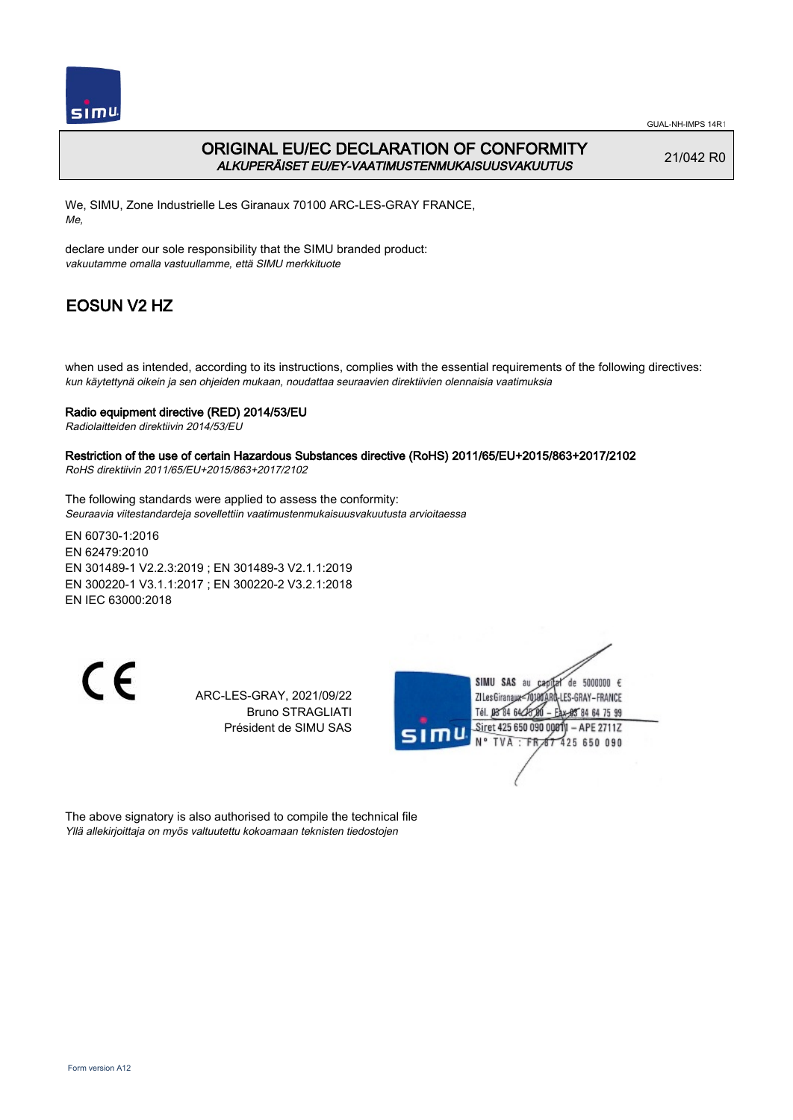

GUAL-NH-IMPS 14R1

## ORIGINAL EU/EC DECLARATION OF CONFORMITY ALKUPERÄISET EU/EY-VAATIMUSTENMUKAISUUSVAKUUTUS

21/042 R0

We, SIMU, Zone Industrielle Les Giranaux 70100 ARC-LES-GRAY FRANCE, Me,

declare under our sole responsibility that the SIMU branded product: vakuutamme omalla vastuullamme, että SIMU merkkituote

# EOSUN V2 HZ

when used as intended, according to its instructions, complies with the essential requirements of the following directives: kun käytettynä oikein ja sen ohjeiden mukaan, noudattaa seuraavien direktiivien olennaisia vaatimuksia

### Radio equipment directive (RED) 2014/53/EU

Radiolaitteiden direktiivin 2014/53/EU

#### Restriction of the use of certain Hazardous Substances directive (RoHS) 2011/65/EU+2015/863+2017/2102 RoHS direktiivin 2011/65/EU+2015/863+2017/2102

The following standards were applied to assess the conformity:

Seuraavia viitestandardeja sovellettiin vaatimustenmukaisuusvakuutusta arvioitaessa

EN 60730‑1:2016 EN 62479:2010 EN 301489‑1 V2.2.3:2019 ; EN 301489‑3 V2.1.1:2019 EN 300220‑1 V3.1.1:2017 ; EN 300220‑2 V3.2.1:2018 EN IEC 63000:2018

 $\epsilon$ 

ARC-LES-GRAY, 2021/09/22 Bruno STRAGLIATI Président de SIMU SAS



The above signatory is also authorised to compile the technical file Yllä allekirjoittaja on myös valtuutettu kokoamaan teknisten tiedostojen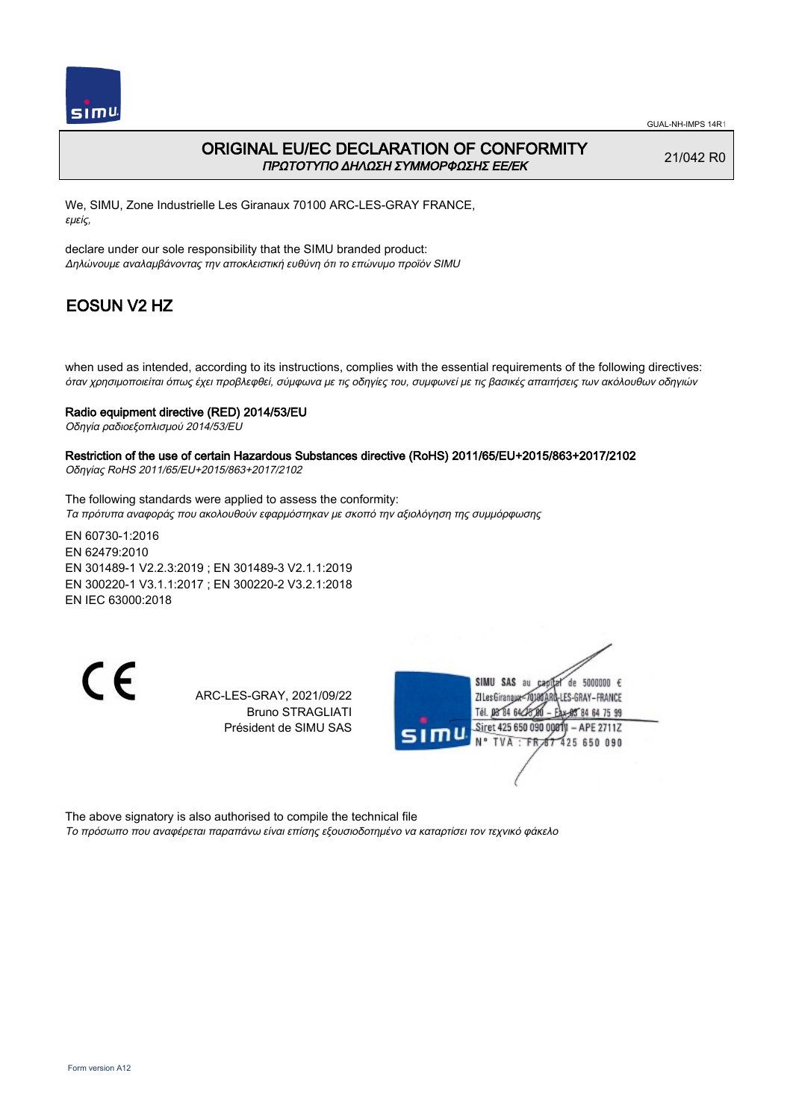

## ORIGINAL EU/EC DECLARATION OF CONFORMITY ΠΡΩΤΟΤΥΠΟ ΔΗΛΩΣΗ ΣΥΜΜΟΡΦΩΣΗΣ ΕΕ/EK

21/042 R0

We, SIMU, Zone Industrielle Les Giranaux 70100 ARC-LES-GRAY FRANCE, εμείς,

declare under our sole responsibility that the SIMU branded product: Δηλώνουμε αναλαμβάνοντας την αποκλειστική ευθύνη ότι το επώνυμο προϊόν SIMU

# EOSUN V2 HZ

when used as intended, according to its instructions, complies with the essential requirements of the following directives: όταν χρησιμοποιείται όπως έχει προβλεφθεί, σύμφωνα με τις οδηγίες του, συμφωνεί με τις βασικές απαιτήσεις των ακόλουθων οδηγιών

#### Radio equipment directive (RED) 2014/53/EU

Οδηγία ραδιοεξοπλισμού 2014/53/EU

#### Restriction of the use of certain Hazardous Substances directive (RoHS) 2011/65/EU+2015/863+2017/2102 Οδηγίας RoHS 2011/65/EU+2015/863+2017/2102

The following standards were applied to assess the conformity: Τα πρότυπα αναφοράς που ακολουθούν εφαρμόστηκαν με σκοπό την αξιολόγηση της συμμόρφωσης

EN 60730‑1:2016 EN 62479:2010 EN 301489‑1 V2.2.3:2019 ; EN 301489‑3 V2.1.1:2019 EN 300220‑1 V3.1.1:2017 ; EN 300220‑2 V3.2.1:2018 EN IEC 63000:2018

C E

ARC-LES-GRAY, 2021/09/22 Bruno STRAGLIATI Président de SIMU SAS



The above signatory is also authorised to compile the technical file

Το πρόσωπο που αναφέρεται παραπάνω είναι επίσης εξουσιοδοτημένο να καταρτίσει τον τεχνικό φάκελο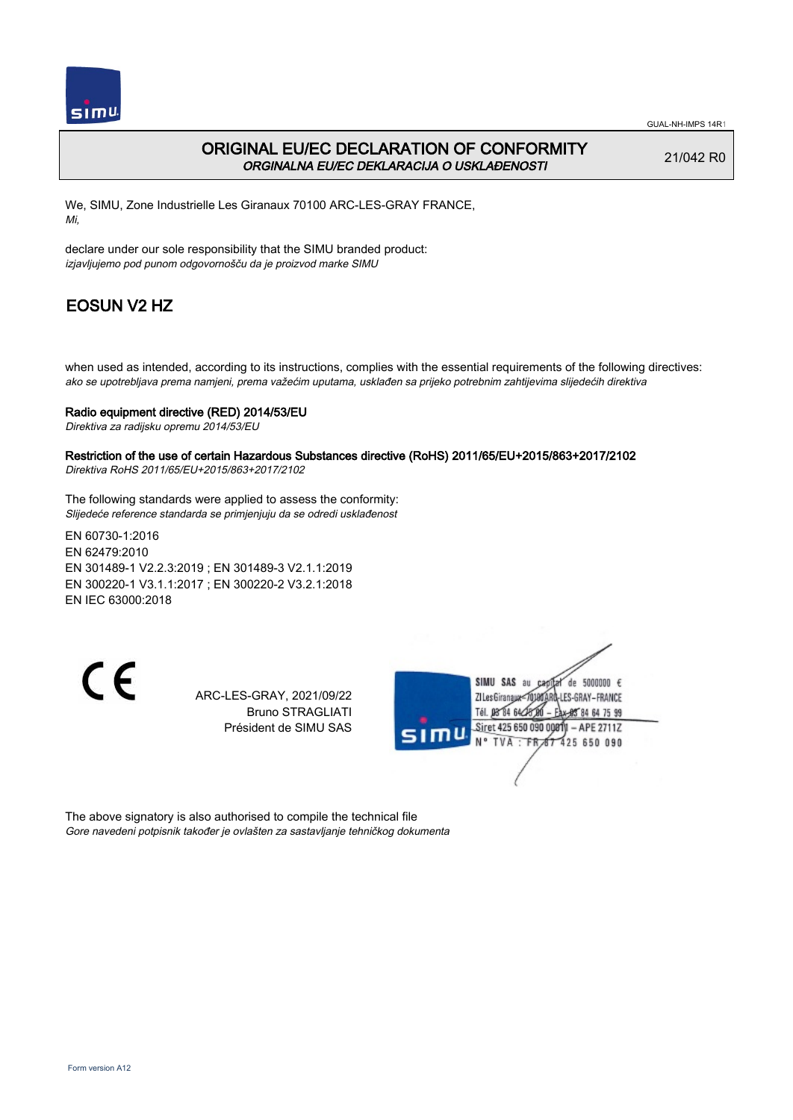

## ORIGINAL EU/EC DECLARATION OF CONFORMITY ORGINALNA EU/EC DEKLARACIJA O USKLAĐENOSTI

21/042 R0

We, SIMU, Zone Industrielle Les Giranaux 70100 ARC-LES-GRAY FRANCE, Mi,

declare under our sole responsibility that the SIMU branded product: izjavljujemo pod punom odgovornošču da je proizvod marke SIMU

# EOSUN V2 HZ

when used as intended, according to its instructions, complies with the essential requirements of the following directives: ako se upotrebljava prema namjeni, prema važećim uputama, usklađen sa prijeko potrebnim zahtijevima slijedećih direktiva

#### Radio equipment directive (RED) 2014/53/EU

Direktiva za radijsku opremu 2014/53/EU

## Restriction of the use of certain Hazardous Substances directive (RoHS) 2011/65/EU+2015/863+2017/2102

Direktiva RoHS 2011/65/EU+2015/863+2017/2102

The following standards were applied to assess the conformity: Slijedeće reference standarda se primjenjuju da se odredi usklađenost

EN 60730‑1:2016 EN 62479:2010 EN 301489‑1 V2.2.3:2019 ; EN 301489‑3 V2.1.1:2019 EN 300220‑1 V3.1.1:2017 ; EN 300220‑2 V3.2.1:2018 EN IEC 63000:2018

 $\epsilon$ 

ARC-LES-GRAY, 2021/09/22 Bruno STRAGLIATI Président de SIMU SAS



The above signatory is also authorised to compile the technical file Gore navedeni potpisnik također je ovlašten za sastavljanje tehničkog dokumenta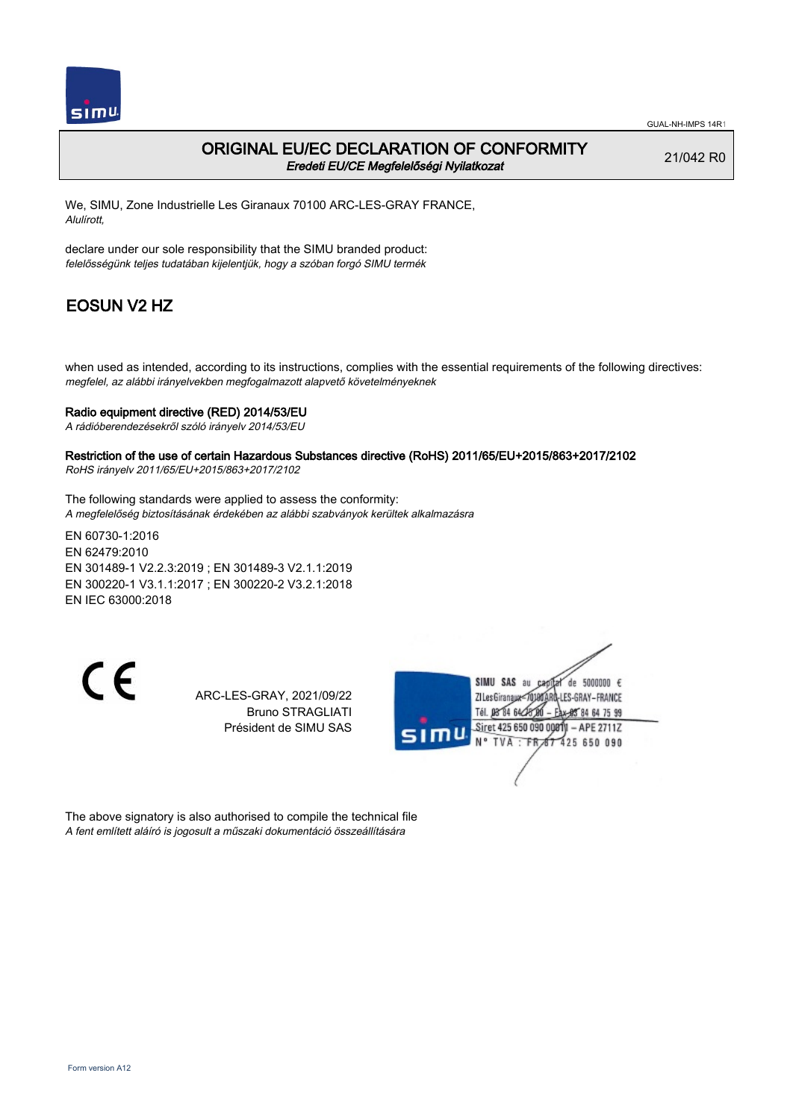

### ORIGINAL EU/EC DECLARATION OF CONFORMITY Eredeti EU/CE Megfelelőségi Nyilatkozat

21/042 R0

We, SIMU, Zone Industrielle Les Giranaux 70100 ARC-LES-GRAY FRANCE, Alulírott,

declare under our sole responsibility that the SIMU branded product: felelősségünk teljes tudatában kijelentjük, hogy a szóban forgó SIMU termék

# EOSUN V2 HZ

when used as intended, according to its instructions, complies with the essential requirements of the following directives: megfelel, az alábbi irányelvekben megfogalmazott alapvető követelményeknek

### Radio equipment directive (RED) 2014/53/EU

A rádióberendezésekről szóló irányelv 2014/53/EU

Restriction of the use of certain Hazardous Substances directive (RoHS) 2011/65/EU+2015/863+2017/2102 RoHS irányelv 2011/65/EU+2015/863+2017/2102

The following standards were applied to assess the conformity: A megfelelőség biztosításának érdekében az alábbi szabványok kerültek alkalmazásra

EN 60730‑1:2016 EN 62479:2010 EN 301489‑1 V2.2.3:2019 ; EN 301489‑3 V2.1.1:2019 EN 300220‑1 V3.1.1:2017 ; EN 300220‑2 V3.2.1:2018 EN IEC 63000:2018

C E

ARC-LES-GRAY, 2021/09/22 Bruno STRAGLIATI Président de SIMU SAS



The above signatory is also authorised to compile the technical file A fent említett aláíró is jogosult a műszaki dokumentáció összeállítására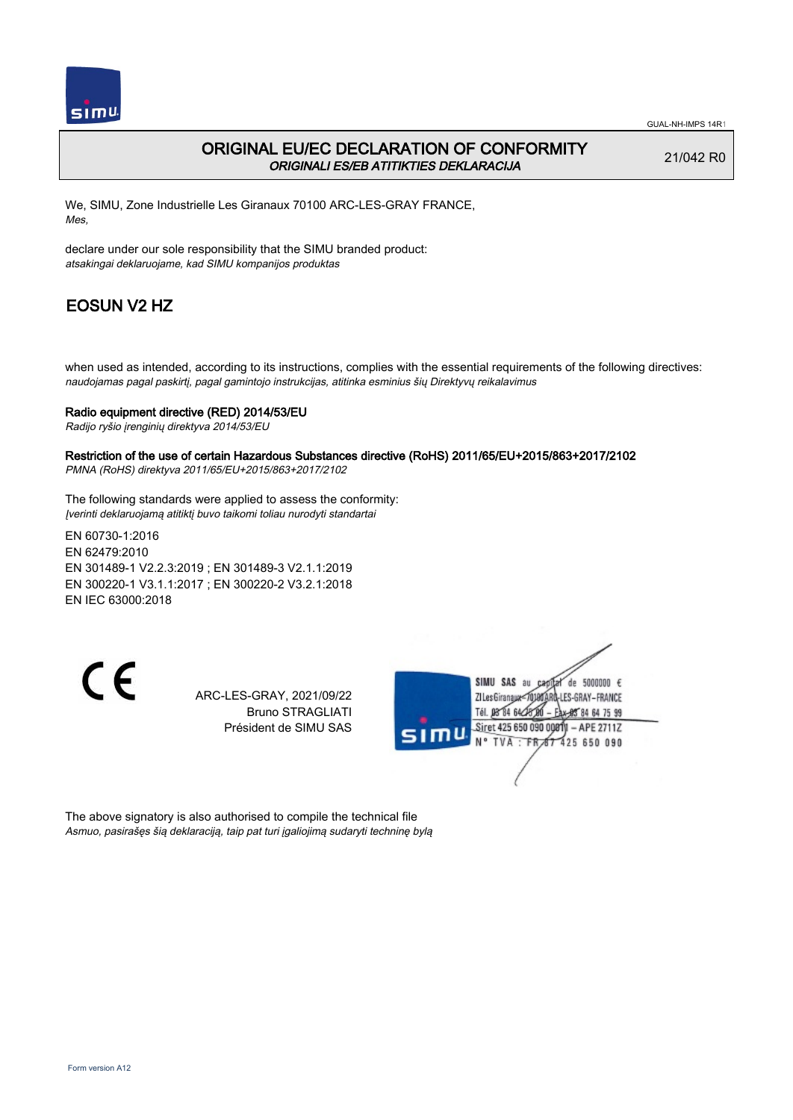

## ORIGINAL EU/EC DECLARATION OF CONFORMITY ORIGINALI ES/EB ATITIKTIES DEKLARACIJA

21/042 R0

We, SIMU, Zone Industrielle Les Giranaux 70100 ARC-LES-GRAY FRANCE, Mes,

declare under our sole responsibility that the SIMU branded product: atsakingai deklaruojame, kad SIMU kompanijos produktas

# EOSUN V2 HZ

when used as intended, according to its instructions, complies with the essential requirements of the following directives: naudojamas pagal paskirtį, pagal gamintojo instrukcijas, atitinka esminius šių Direktyvų reikalavimus

### Radio equipment directive (RED) 2014/53/EU

Radijo ryšio įrenginių direktyva 2014/53/EU

#### Restriction of the use of certain Hazardous Substances directive (RoHS) 2011/65/EU+2015/863+2017/2102

PMNA (RoHS) direktyva 2011/65/EU+2015/863+2017/2102

The following standards were applied to assess the conformity: Įverinti deklaruojamą atitiktį buvo taikomi toliau nurodyti standartai

EN 60730‑1:2016 EN 62479:2010 EN 301489‑1 V2.2.3:2019 ; EN 301489‑3 V2.1.1:2019 EN 300220‑1 V3.1.1:2017 ; EN 300220‑2 V3.2.1:2018 EN IEC 63000:2018

 $\epsilon$ 

ARC-LES-GRAY, 2021/09/22 Bruno STRAGLIATI Président de SIMU SAS



The above signatory is also authorised to compile the technical file Asmuo, pasirašęs šią deklaraciją, taip pat turi įgaliojimą sudaryti techninę bylą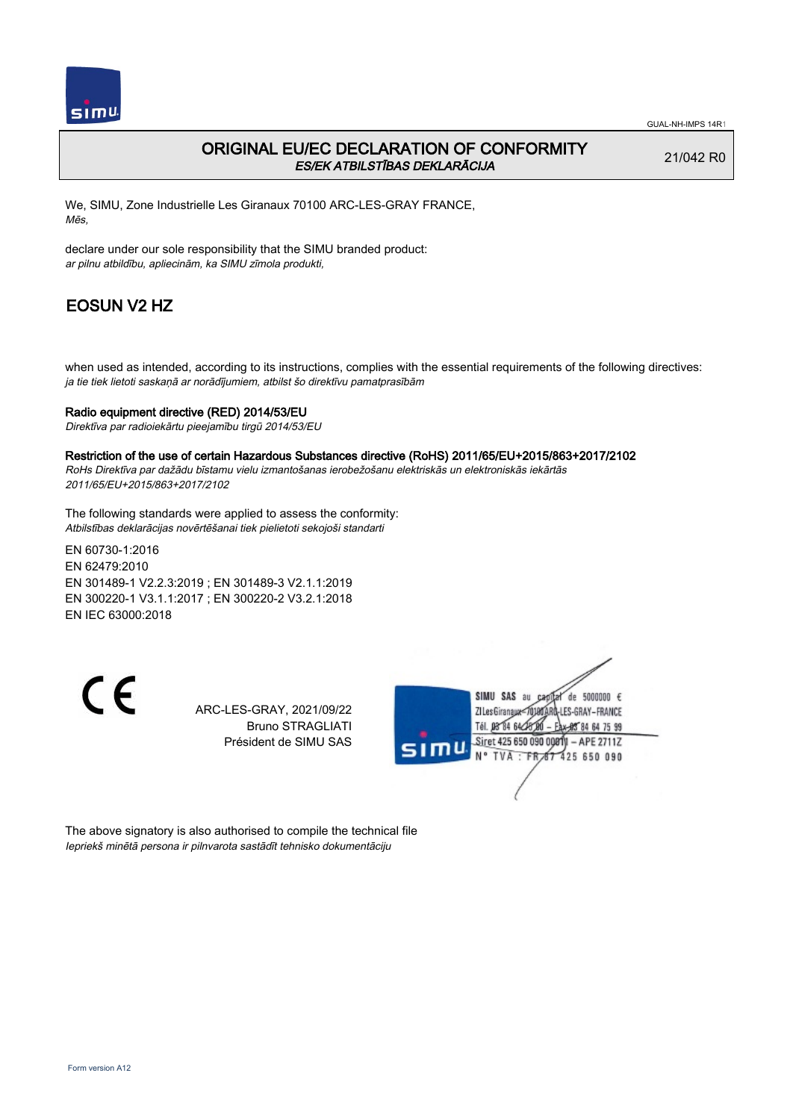

## ORIGINAL EU/EC DECLARATION OF CONFORMITY ES/EK ATBILSTĪBAS DEKLARĀCIJA

21/042 R0

We, SIMU, Zone Industrielle Les Giranaux 70100 ARC-LES-GRAY FRANCE, Mēs,

declare under our sole responsibility that the SIMU branded product: ar pilnu atbildību, apliecinām, ka SIMU zīmola produkti,

# EOSUN V2 HZ

when used as intended, according to its instructions, complies with the essential requirements of the following directives: ja tie tiek lietoti saskaņā ar norādījumiem, atbilst šo direktīvu pamatprasībām

### Radio equipment directive (RED) 2014/53/EU

Direktīva par radioiekārtu pieejamību tirgū 2014/53/EU

#### Restriction of the use of certain Hazardous Substances directive (RoHS) 2011/65/EU+2015/863+2017/2102

RoHs Direktīva par dažādu bīstamu vielu izmantošanas ierobežošanu elektriskās un elektroniskās iekārtās 2011/65/EU+2015/863+2017/2102

The following standards were applied to assess the conformity: Atbilstības deklarācijas novērtēšanai tiek pielietoti sekojoši standarti

EN 60730‑1:2016 EN 62479:2010 EN 301489‑1 V2.2.3:2019 ; EN 301489‑3 V2.1.1:2019 EN 300220‑1 V3.1.1:2017 ; EN 300220‑2 V3.2.1:2018 EN IEC 63000:2018

CE

ARC-LES-GRAY, 2021/09/22 Bruno STRAGLIATI Président de SIMU SAS



The above signatory is also authorised to compile the technical file Iepriekš minētā persona ir pilnvarota sastādīt tehnisko dokumentāciju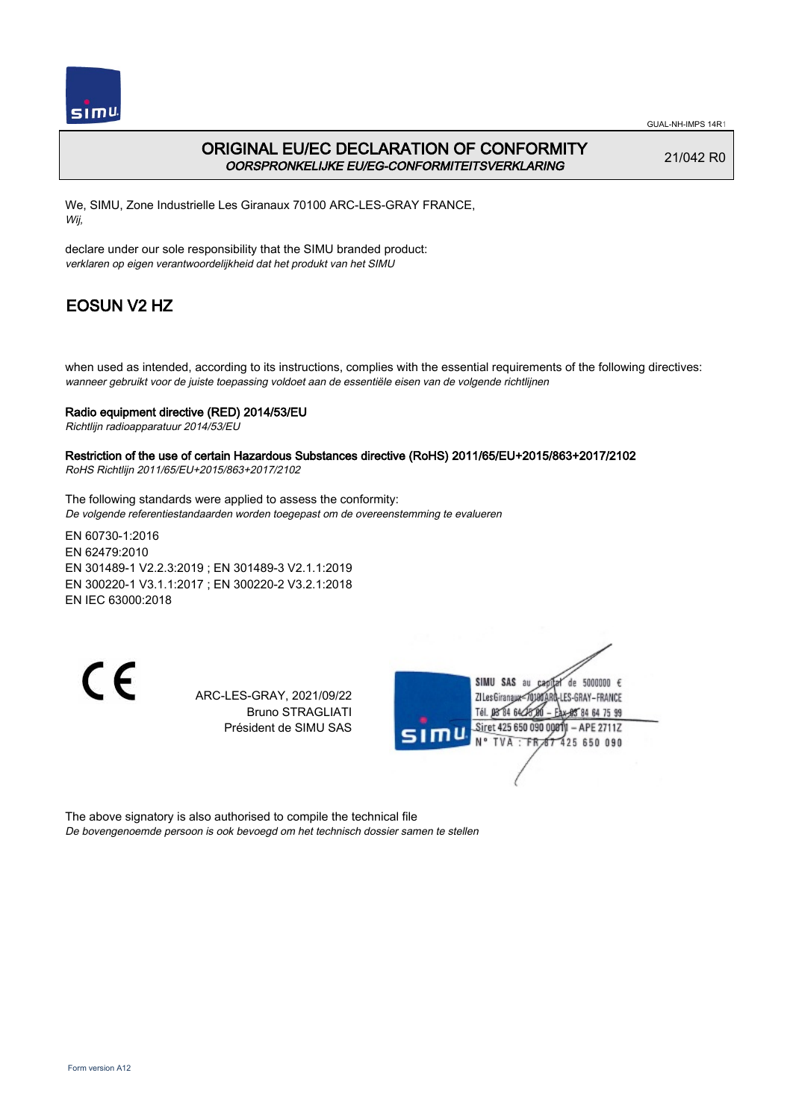

GUAL-NH-IMPS 14R1

## ORIGINAL EU/EC DECLARATION OF CONFORMITY OORSPRONKELIJKE EU/EG-CONFORMITEITSVERKLARING

21/042 R0

We, SIMU, Zone Industrielle Les Giranaux 70100 ARC-LES-GRAY FRANCE, Wij,

declare under our sole responsibility that the SIMU branded product: verklaren op eigen verantwoordelijkheid dat het produkt van het SIMU

# EOSUN V2 HZ

when used as intended, according to its instructions, complies with the essential requirements of the following directives: wanneer gebruikt voor de juiste toepassing voldoet aan de essentiële eisen van de volgende richtlijnen

### Radio equipment directive (RED) 2014/53/EU

Richtlijn radioapparatuur 2014/53/EU

#### Restriction of the use of certain Hazardous Substances directive (RoHS) 2011/65/EU+2015/863+2017/2102 RoHS Richtlijn 2011/65/EU+2015/863+2017/2102

The following standards were applied to assess the conformity: De volgende referentiestandaarden worden toegepast om de overeenstemming te evalueren

EN 60730‑1:2016 EN 62479:2010 EN 301489‑1 V2.2.3:2019 ; EN 301489‑3 V2.1.1:2019 EN 300220‑1 V3.1.1:2017 ; EN 300220‑2 V3.2.1:2018 EN IEC 63000:2018

C E

ARC-LES-GRAY, 2021/09/22 Bruno STRAGLIATI Président de SIMU SAS



The above signatory is also authorised to compile the technical file De bovengenoemde persoon is ook bevoegd om het technisch dossier samen te stellen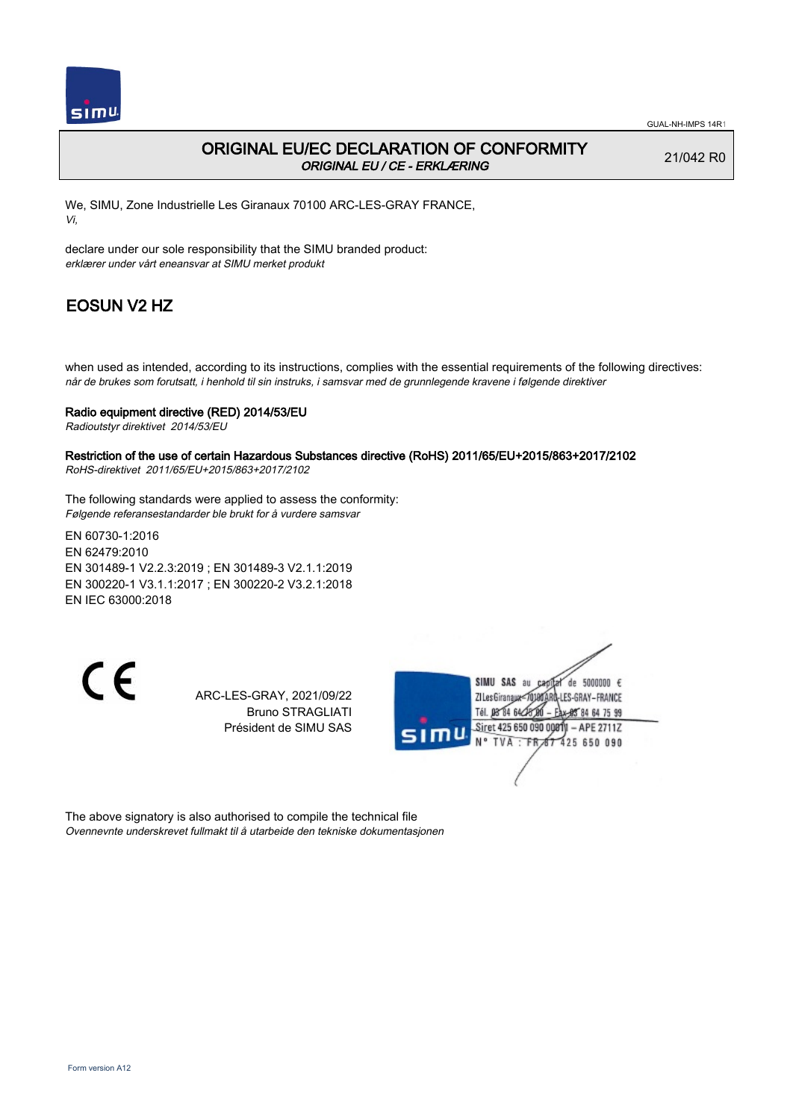

## ORIGINAL EU/EC DECLARATION OF CONFORMITY ORIGINAL EU / CE - ERKLÆRING

21/042 R0

We, SIMU, Zone Industrielle Les Giranaux 70100 ARC-LES-GRAY FRANCE, Vi,

declare under our sole responsibility that the SIMU branded product: erklærer under vårt eneansvar at SIMU merket produkt

# EOSUN V2 HZ

when used as intended, according to its instructions, complies with the essential requirements of the following directives: når de brukes som forutsatt, i henhold til sin instruks, i samsvar med de grunnlegende kravene i følgende direktiver

#### Radio equipment directive (RED) 2014/53/EU

Radioutstyr direktivet 2014/53/EU

#### Restriction of the use of certain Hazardous Substances directive (RoHS) 2011/65/EU+2015/863+2017/2102 RoHS-direktivet 2011/65/EU+2015/863+2017/2102

The following standards were applied to assess the conformity: Følgende referansestandarder ble brukt for å vurdere samsvar

EN 60730‑1:2016 EN 62479:2010 EN 301489‑1 V2.2.3:2019 ; EN 301489‑3 V2.1.1:2019 EN 300220‑1 V3.1.1:2017 ; EN 300220‑2 V3.2.1:2018 EN IEC 63000:2018

 $\epsilon$ 

ARC-LES-GRAY, 2021/09/22 Bruno STRAGLIATI Président de SIMU SAS



The above signatory is also authorised to compile the technical file Ovennevnte underskrevet fullmakt til å utarbeide den tekniske dokumentasjonen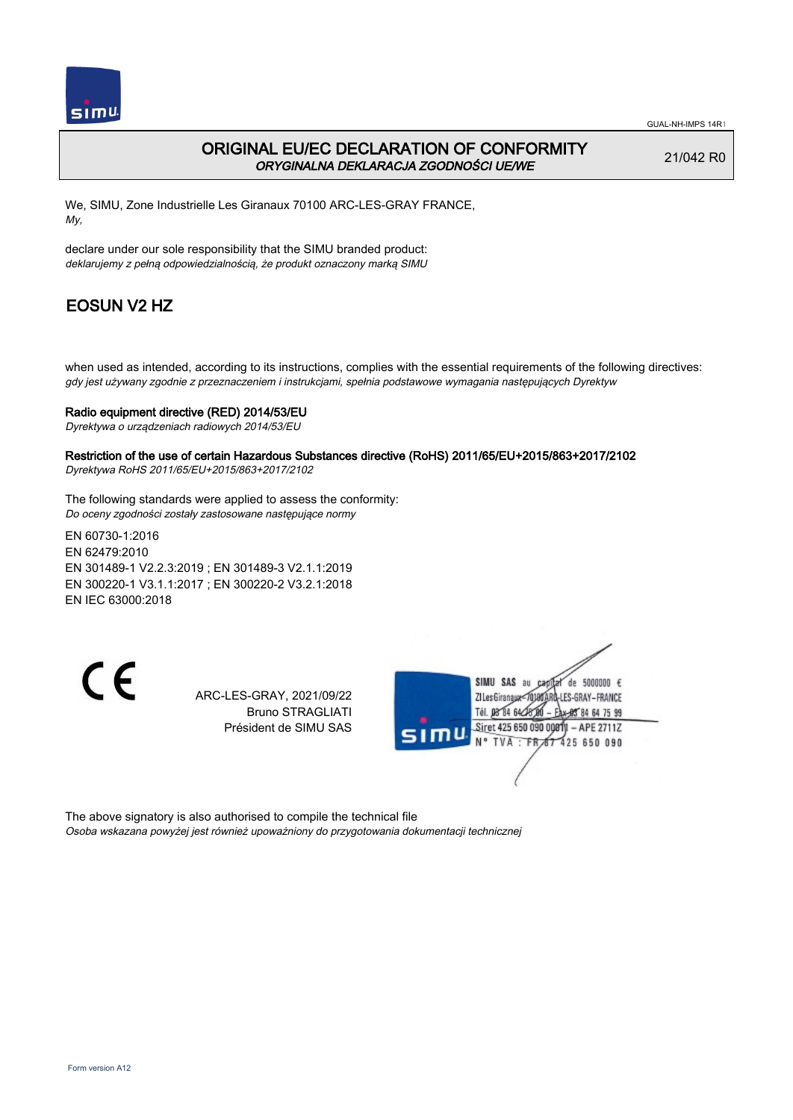

## ORIGINAL EU/EC DECLARATION OF CONFORMITY ORYGINALNA DEKLARACJA ZGODNOŚCI UE/WE

21/042 R0

We, SIMU, Zone Industrielle Les Giranaux 70100 ARC-LES-GRAY FRANCE, My,

declare under our sole responsibility that the SIMU branded product: deklarujemy z pełną odpowiedzialnością, że produkt oznaczony marką SIMU

# EOSUN V2 HZ

when used as intended, according to its instructions, complies with the essential requirements of the following directives: gdy jest używany zgodnie z przeznaczeniem i instrukcjami, spełnia podstawowe wymagania następujących Dyrektyw

### Radio equipment directive (RED) 2014/53/EU

Dyrektywa o urządzeniach radiowych 2014/53/EU

### Restriction of the use of certain Hazardous Substances directive (RoHS) 2011/65/EU+2015/863+2017/2102

Dyrektywa RoHS 2011/65/EU+2015/863+2017/2102

The following standards were applied to assess the conformity: Do oceny zgodności zostały zastosowane następujące normy

EN 60730‑1:2016 EN 62479:2010 EN 301489‑1 V2.2.3:2019 ; EN 301489‑3 V2.1.1:2019 EN 300220‑1 V3.1.1:2017 ; EN 300220‑2 V3.2.1:2018 EN IEC 63000:2018

 $\epsilon$ 

ARC-LES-GRAY, 2021/09/22 Bruno STRAGLIATI Président de SIMU SAS



The above signatory is also authorised to compile the technical file Osoba wskazana powyżej jest również upoważniony do przygotowania dokumentacji technicznej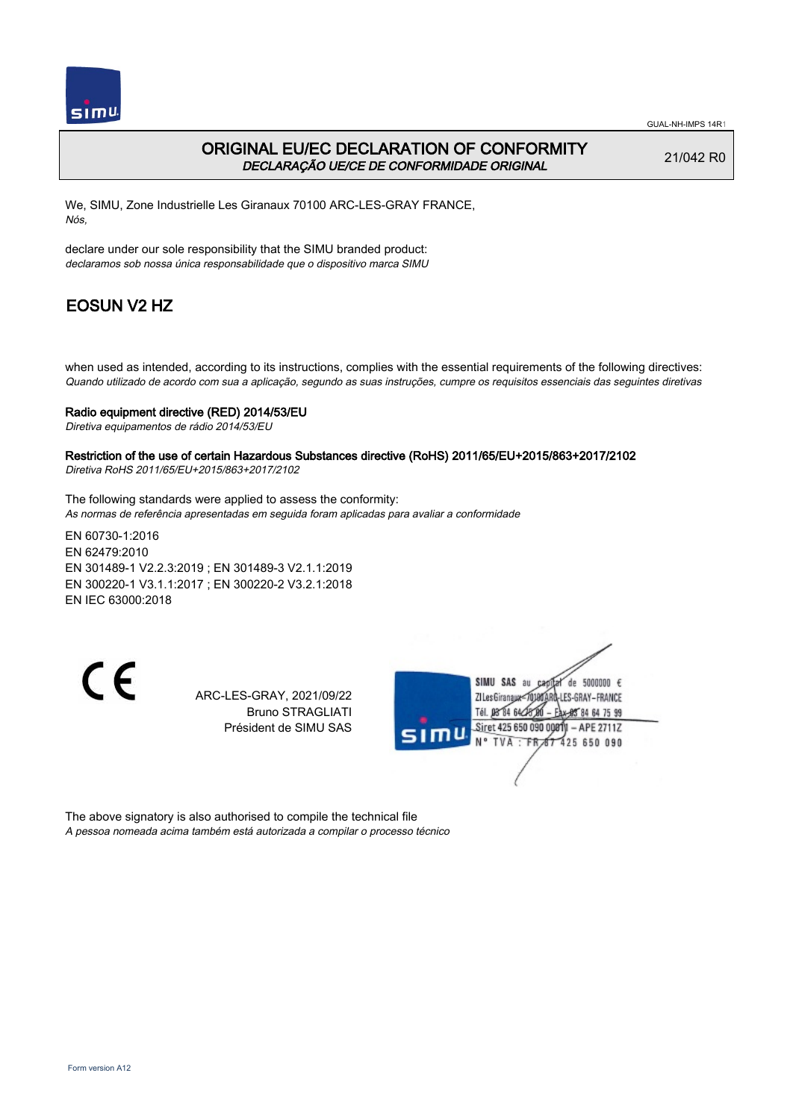

### ORIGINAL EU/EC DECLARATION OF CONFORMITY DECLARAÇÃO UE/CE DE CONFORMIDADE ORIGINAL

21/042 R0

We, SIMU, Zone Industrielle Les Giranaux 70100 ARC-LES-GRAY FRANCE, Nós,

declare under our sole responsibility that the SIMU branded product: declaramos sob nossa única responsabilidade que o dispositivo marca SIMU

# EOSUN V2 HZ

when used as intended, according to its instructions, complies with the essential requirements of the following directives: Quando utilizado de acordo com sua a aplicação, segundo as suas instruções, cumpre os requisitos essenciais das seguintes diretivas

#### Radio equipment directive (RED) 2014/53/EU

Diretiva equipamentos de rádio 2014/53/EU

# Restriction of the use of certain Hazardous Substances directive (RoHS) 2011/65/EU+2015/863+2017/2102

Diretiva RoHS 2011/65/EU+2015/863+2017/2102

The following standards were applied to assess the conformity: As normas de referência apresentadas em seguida foram aplicadas para avaliar a conformidade

EN 60730‑1:2016 EN 62479:2010 EN 301489‑1 V2.2.3:2019 ; EN 301489‑3 V2.1.1:2019 EN 300220‑1 V3.1.1:2017 ; EN 300220‑2 V3.2.1:2018 EN IEC 63000:2018

 $\epsilon$ 

ARC-LES-GRAY, 2021/09/22 Bruno STRAGLIATI Président de SIMU SAS



The above signatory is also authorised to compile the technical file A pessoa nomeada acima também está autorizada a compilar o processo técnico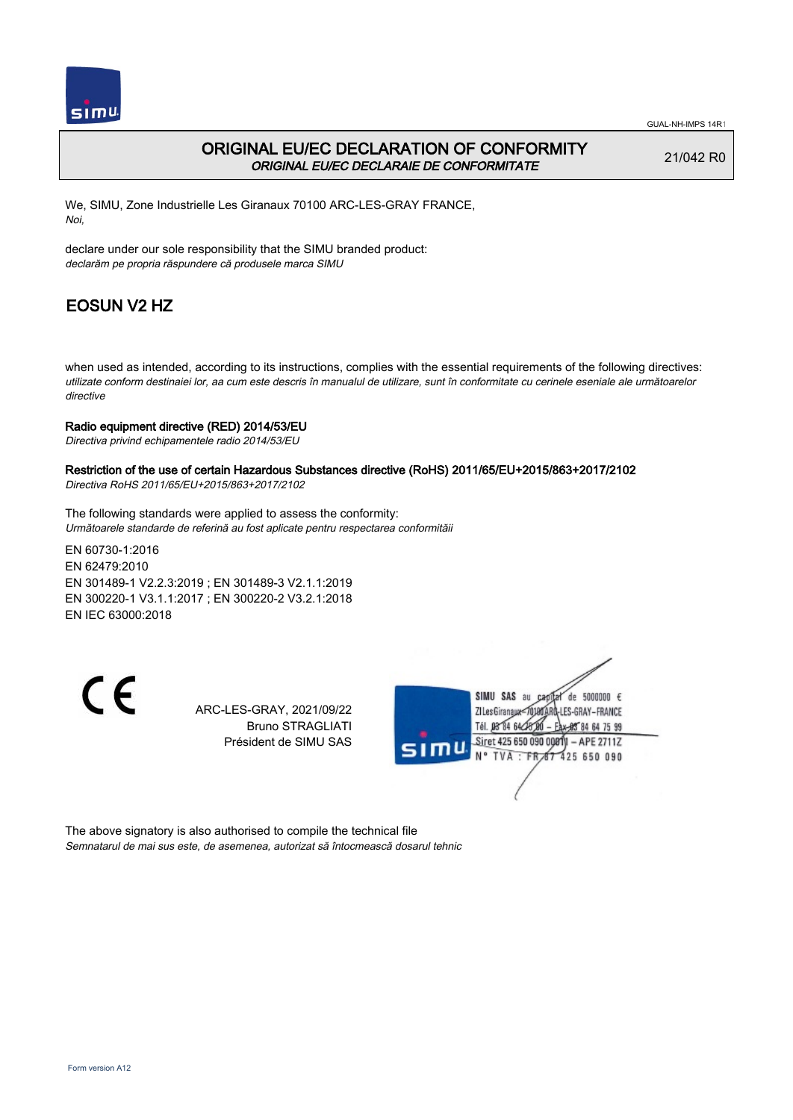

### ORIGINAL EU/EC DECLARATION OF CONFORMITY ORIGINAL EU/EC DECLARAIE DE CONFORMITATE

21/042 R0

We, SIMU, Zone Industrielle Les Giranaux 70100 ARC-LES-GRAY FRANCE, Noi,

declare under our sole responsibility that the SIMU branded product: declarăm pe propria răspundere că produsele marca SIMU

# EOSUN V2 HZ

when used as intended, according to its instructions, complies with the essential requirements of the following directives: utilizate conform destinaiei lor, aa cum este descris în manualul de utilizare, sunt în conformitate cu cerinele eseniale ale următoarelor directive

#### Radio equipment directive (RED) 2014/53/EU

Directiva privind echipamentele radio 2014/53/EU

## Restriction of the use of certain Hazardous Substances directive (RoHS) 2011/65/EU+2015/863+2017/2102

Directiva RoHS 2011/65/EU+2015/863+2017/2102

The following standards were applied to assess the conformity: Următoarele standarde de referină au fost aplicate pentru respectarea conformităii

EN 60730‑1:2016 EN 62479:2010 EN 301489‑1 V2.2.3:2019 ; EN 301489‑3 V2.1.1:2019 EN 300220‑1 V3.1.1:2017 ; EN 300220‑2 V3.2.1:2018 EN IEC 63000:2018

CE

ARC-LES-GRAY, 2021/09/22 Bruno STRAGLIATI Président de SIMU SAS



The above signatory is also authorised to compile the technical file Semnatarul de mai sus este, de asemenea, autorizat să întocmească dosarul tehnic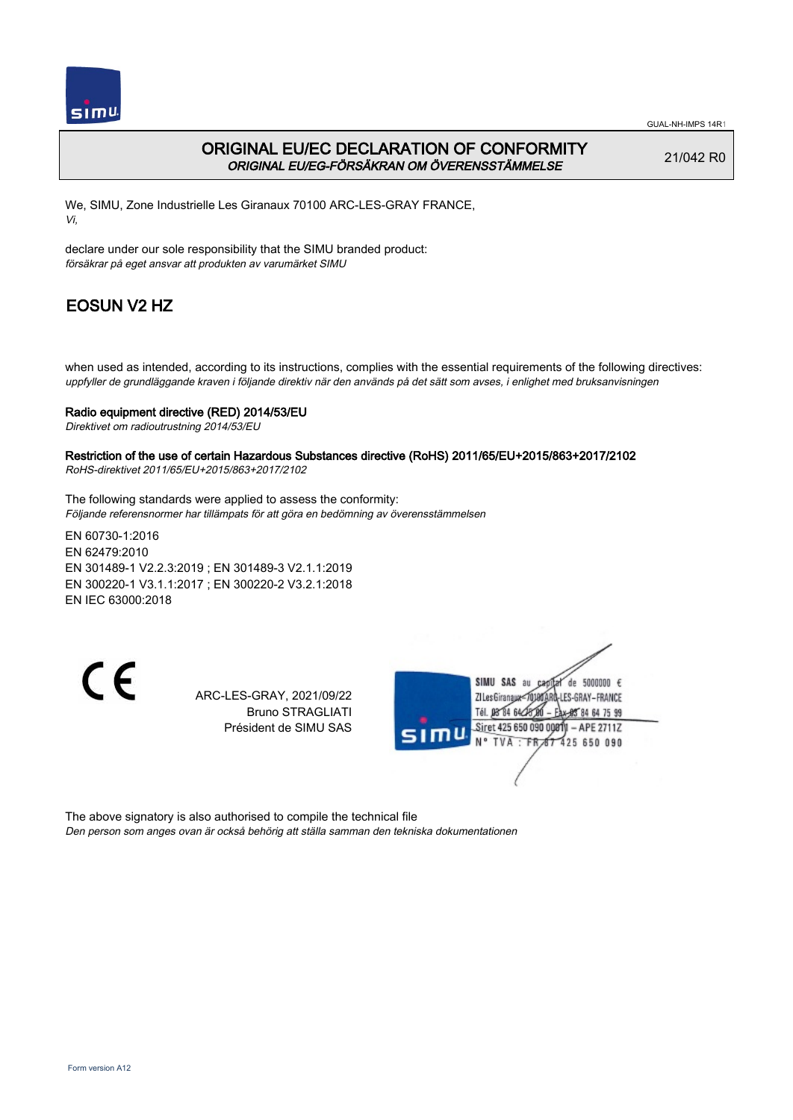

GUAL-NH-IMPS 14R1

## ORIGINAL EU/EC DECLARATION OF CONFORMITY ORIGINAL EU/EG-FÖRSÄKRAN OM ÖVERENSSTÄMMELSE

21/042 R0

We, SIMU, Zone Industrielle Les Giranaux 70100 ARC-LES-GRAY FRANCE, Vi,

declare under our sole responsibility that the SIMU branded product: försäkrar på eget ansvar att produkten av varumärket SIMU

# EOSUN V2 HZ

when used as intended, according to its instructions, complies with the essential requirements of the following directives: uppfyller de grundläggande kraven i följande direktiv när den används på det sätt som avses, i enlighet med bruksanvisningen

### Radio equipment directive (RED) 2014/53/EU

Direktivet om radioutrustning 2014/53/EU

Restriction of the use of certain Hazardous Substances directive (RoHS) 2011/65/EU+2015/863+2017/2102 RoHS-direktivet 2011/65/EU+2015/863+2017/2102

The following standards were applied to assess the conformity: Följande referensnormer har tillämpats för att göra en bedömning av överensstämmelsen

EN 60730‑1:2016 EN 62479:2010 EN 301489‑1 V2.2.3:2019 ; EN 301489‑3 V2.1.1:2019 EN 300220‑1 V3.1.1:2017 ; EN 300220‑2 V3.2.1:2018 EN IEC 63000:2018

C E

ARC-LES-GRAY, 2021/09/22 Bruno STRAGLIATI Président de SIMU SAS



The above signatory is also authorised to compile the technical file Den person som anges ovan är också behörig att ställa samman den tekniska dokumentationen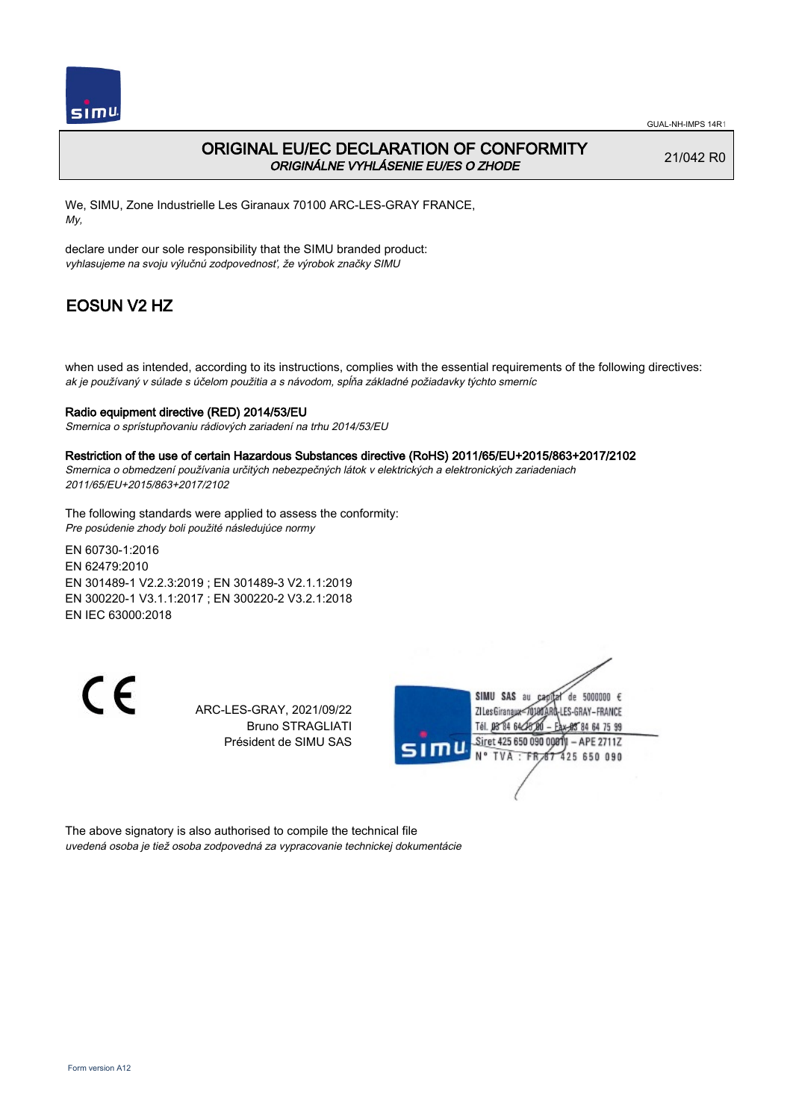

## ORIGINAL EU/EC DECLARATION OF CONFORMITY ORIGINÁLNE VYHLÁSENIE EU/ES O ZHODE

21/042 R0

We, SIMU, Zone Industrielle Les Giranaux 70100 ARC-LES-GRAY FRANCE, My,

declare under our sole responsibility that the SIMU branded product: vyhlasujeme na svoju výlučnú zodpovednosť, že výrobok značky SIMU

# EOSUN V2 HZ

when used as intended, according to its instructions, complies with the essential requirements of the following directives: ak je používaný v súlade s účelom použitia a s návodom, spĺňa základné požiadavky týchto smerníc

### Radio equipment directive (RED) 2014/53/EU

Smernica o sprístupňovaniu rádiových zariadení na trhu 2014/53/EU

#### Restriction of the use of certain Hazardous Substances directive (RoHS) 2011/65/EU+2015/863+2017/2102

Smernica o obmedzení používania určitých nebezpečných látok v elektrických a elektronických zariadeniach 2011/65/EU+2015/863+2017/2102

The following standards were applied to assess the conformity: Pre posúdenie zhody boli použité následujúce normy

EN 60730‑1:2016 EN 62479:2010 EN 301489‑1 V2.2.3:2019 ; EN 301489‑3 V2.1.1:2019 EN 300220‑1 V3.1.1:2017 ; EN 300220‑2 V3.2.1:2018 EN IEC 63000:2018

CE

ARC-LES-GRAY, 2021/09/22 Bruno STRAGLIATI Président de SIMU SAS



The above signatory is also authorised to compile the technical file uvedená osoba je tiež osoba zodpovedná za vypracovanie technickej dokumentácie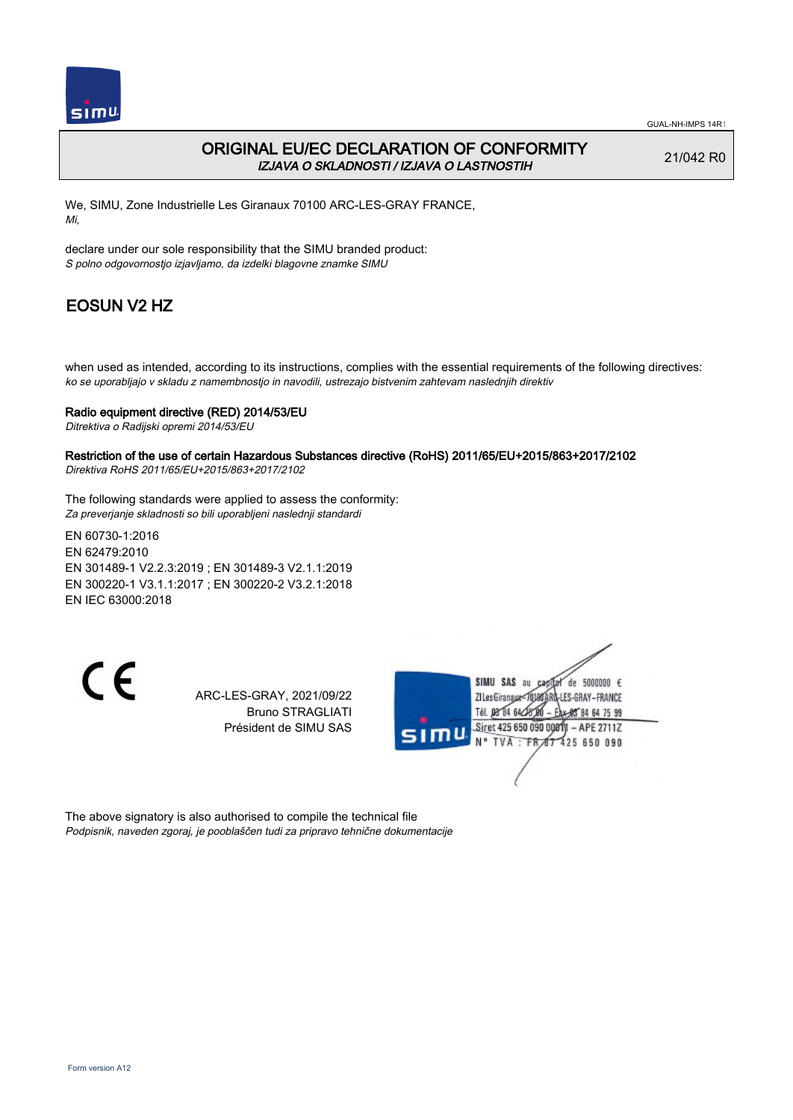

## ORIGINAL EU/EC DECLARATION OF CONFORMITY IZJAVA O SKLADNOSTI / IZJAVA O LASTNOSTIH

21/042 R0

We, SIMU, Zone Industrielle Les Giranaux 70100 ARC-LES-GRAY FRANCE, Mi,

declare under our sole responsibility that the SIMU branded product: S polno odgovornostjo izjavljamo, da izdelki blagovne znamke SIMU

# EOSUN V2 HZ

when used as intended, according to its instructions, complies with the essential requirements of the following directives: ko se uporabljajo v skladu z namembnostjo in navodili, ustrezajo bistvenim zahtevam naslednjih direktiv

### Radio equipment directive (RED) 2014/53/EU

Ditrektiva o Radijski opremi 2014/53/EU

## Restriction of the use of certain Hazardous Substances directive (RoHS) 2011/65/EU+2015/863+2017/2102

Direktiva RoHS 2011/65/EU+2015/863+2017/2102

The following standards were applied to assess the conformity: Za preverjanje skladnosti so bili uporabljeni naslednji standardi

EN 60730‑1:2016 EN 62479:2010 EN 301489‑1 V2.2.3:2019 ; EN 301489‑3 V2.1.1:2019 EN 300220‑1 V3.1.1:2017 ; EN 300220‑2 V3.2.1:2018 EN IEC 63000:2018

 $\epsilon$ 

ARC-LES-GRAY, 2021/09/22 Bruno STRAGLIATI Président de SIMU SAS



The above signatory is also authorised to compile the technical file Podpisnik, naveden zgoraj, je pooblaščen tudi za pripravo tehnične dokumentacije